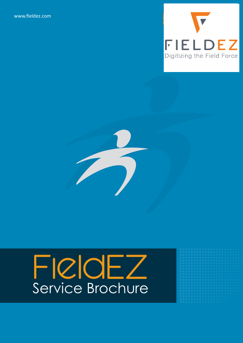[www.fieldez.com](https://www.fieldez.com/emob/)





# FieldEZ Service Brochure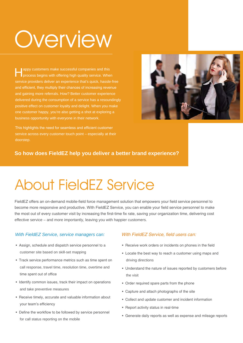# **Overview**

**Appy customers make successful companies and this** process begins with offering high quality service. When service providers deliver an experience that's quick, hassle-free and efficient, they multiply their chances of increasing revenue and gaining more referrals. How? Better customer experience delivered during the consumption of a service has a resoundingly positive effect on customer loyalty and delight. When you make one customer happy, you're also getting a shot at exploring a business opportunity with everyone in their network.

This highlights the need for seamless and efficient customer service across every customer touch point – especially at their doorstep.



### **So how does FieldEZ help you deliver a better brand experience?**

## About FieldEZ Service

FieldEZ offers an on-demand mobile-field force management solution that empowers your field service personnel to become more responsive and productive. With FieldEZ Service, you can enable your field service personnel to make the most out of every customer visit by increasing the first-time fix rate, saving your organization time, delivering cost effective service – and more importantly, leaving you with happier customers.

### With FieldEZ Service, service managers can: With FieldEZ Service, field users can:

- Assign, schedule and dispatch service personnel to a customer site based on skill-set mapping
- Track service performance metrics such as time spent on call response, travel time, resolution time, overtime and time spent out of office
- Identify common issues, track their impact on operations and take preventive measures
- Receive timely, accurate and valuable information about your team's efficiency
- Define the workflow to be followed by service personnel for call status reporting on the mobile

- Receive work orders or incidents on phones in the field
- Locate the best way to reach a customer using maps and driving directions
- Understand the nature of issues reported by customers before the visit
- Order required spare parts from the phone
- Capture and attach photographs of the site
- Collect and update customer and incident information
- Report activity status in real-time
- Generate daily reports as well as expense and mileage reports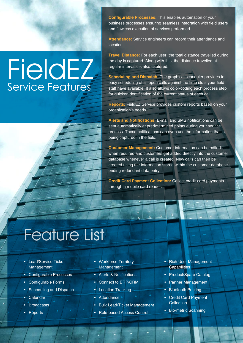**Configurable Processes:** This enables automation of your business processes ensuring seamless integration with field users and flawless execution of services performed.

**Attendance:** Service engineers can record their attendance and location.

**Travel Distance:** For each user, the total distance travelled during the day is captured. Along with this, the distance travelled at regular intervals is also captured.

**Scheduling and Dispatch:** The graphical scheduler provides for easy scheduling of all open calls against the time slots your field staff have available. It also allows color-coding each process step for quicker identification of the current status of each call.

**Reports:** FieldEZ Service provides custom reports based on your organization's needs.

**Alerts and Notifications:** E-mail and SMS notifications can be sent automatically at predetermined points during your service process. These notifications can even use the information that is being captured in the field.

**Customer Management:** Customer information can be edited when required and customers get added directly into the customer database whenever a call is created. New calls can then be created using the information stored within the customer database ending redundant data entry.

**Credit Card Payment Collection:** Collect credit-card payments through a mobile card reader.

## Feature List

**FieldEZ** 

Service Features

- Lead/Service Ticket Management
- Configurable Processes
- Configurable Forms
- Scheduling and Dispatch
- **Calendar**
- **Broadcasts**
- **Reports**
- Workforce Territory **Management**
- Alerts & Notifications • Connect to ERP/CRM
- Location Tracking
- Attendance
- Bulk Lead/Ticket Management
- Role-based Access Control
- Rich User Management **Capabilities**
- Product/Spare Catalog
- Partner Management
- Bluetooth Printing
- Credit Card Payment **Collection**
- Bio-metric Scanning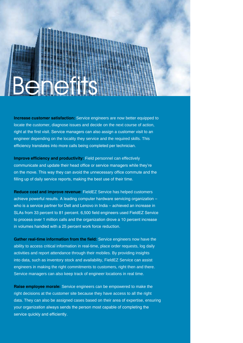

**Increase customer satisfaction:** Service engineers are now better equipped to locate the customer, diagnose issues and decide on the next course of action, right at the first visit. Service managers can also assign a customer visit to an engineer depending on the locality they service and the required skills. This efficiency translates into more calls being completed per technician.

**Improve efficiency and productivity:** Field personnel can effectively communicate and update their head office or service managers while they're on the move. This way they can avoid the unnecessary office commute and the filling up of daily service reports, making the best use of their time.

**Reduce cost and improve revenue:** FieldEZ Service has helped customers achieve powerful results. A leading computer hardware servicing organization – who is a service partner for Dell and Lenovo in India – achieved an increase in SLAs from 33 percent to 81 percent. 6,500 field engineers used FieldEZ Service to process over 1 million calls and the organization drove a 10 percent increase in volumes handled with a 25 percent work force reduction.

**Gather real-time information from the field:** Service engineers now have the ability to access critical information in real-time, place order requests, log daily activities and report attendance through their mobiles. By providing insights into data, such as inventory stock and availability, FieldEZ Service can assist engineers in making the right commitments to customers, right then and there. Service managers can also keep track of engineer locations in real time.

**Raise employee morale:** Service engineers can be empowered to make the right decisions at the customer site because they have access to all the right data. They can also be assigned cases based on their area of expertise, ensuring your organization always sends the person most capable of completing the service quickly and efficiently.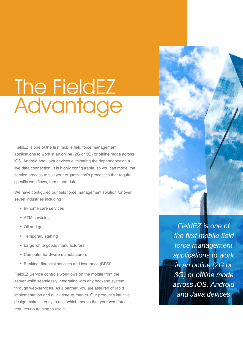# The FieldEZ Advantage

FieldEZ is one of the first mobile field force management applications to work in an online (2G or 3G) or offline mode across iOS, Android and Java devices eliminating the dependency on a live data connection. It is highly configurable, so you can model the service process to suit your organization's processes that require specific workflows, forms and data.

We have configured our field force management solution for over seven industries including :

- In-home care services
- ATM servicing
- Oil and gas
- Temporary staffing
- Large white goods manufacturers
- Computer hardware manufacturers
- Banking, financial services and insurance (BFSI)

FieldEZ Service controls workflows on the mobile from the server while seamlessly integrating with any backend system through web-services. As a partner, you are assured of rapid implementation and quick time-to-market. Our product's intuitive design makes it easy to use, which means that your workforce requires no training to use it.



FieldEZ is one of the first mobile field force management applications to work in an online (2G or 3G) or offline mode across iOS, Android and Java devices